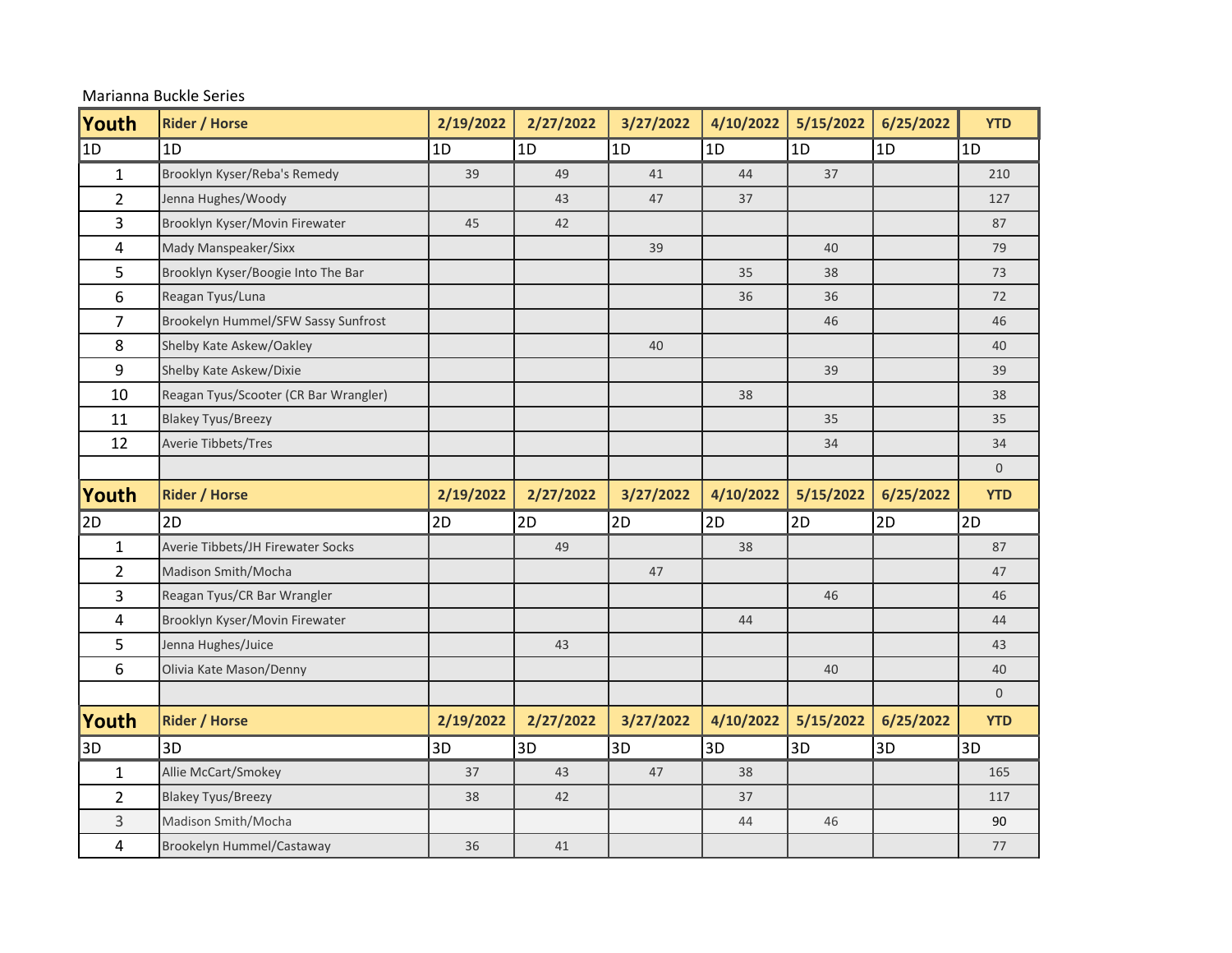| Marianna Buckle Series |  |  |
|------------------------|--|--|
|------------------------|--|--|

| Youth          | <b>Rider / Horse</b>                  | 2/19/2022 | 2/27/2022 | 3/27/2022 | 4/10/2022 | 5/15/2022 | 6/25/2022 | <b>YTD</b>     |
|----------------|---------------------------------------|-----------|-----------|-----------|-----------|-----------|-----------|----------------|
| $\vert$ 1D     | 1D                                    | 1D        | 1D        | 1D        | 1D        | 1D        | 1D        | 1D             |
| $\mathbf{1}$   | Brooklyn Kyser/Reba's Remedy          | 39        | 49        | 41        | 44        | 37        |           | 210            |
| $\overline{2}$ | Jenna Hughes/Woody                    |           | 43        | 47        | 37        |           |           | 127            |
| 3              | Brooklyn Kyser/Movin Firewater        | 45        | 42        |           |           |           |           | 87             |
| 4              | Mady Manspeaker/Sixx                  |           |           | 39        |           | 40        |           | 79             |
| 5              | Brooklyn Kyser/Boogie Into The Bar    |           |           |           | 35        | 38        |           | 73             |
| 6              | Reagan Tyus/Luna                      |           |           |           | 36        | 36        |           | 72             |
| 7              | Brookelyn Hummel/SFW Sassy Sunfrost   |           |           |           |           | 46        |           | 46             |
| 8              | Shelby Kate Askew/Oakley              |           |           | 40        |           |           |           | 40             |
| 9              | Shelby Kate Askew/Dixie               |           |           |           |           | 39        |           | 39             |
| 10             | Reagan Tyus/Scooter (CR Bar Wrangler) |           |           |           | 38        |           |           | 38             |
| 11             | <b>Blakey Tyus/Breezy</b>             |           |           |           |           | 35        |           | 35             |
| 12             | Averie Tibbets/Tres                   |           |           |           |           | 34        |           | 34             |
|                |                                       |           |           |           |           |           |           | $\overline{0}$ |
| Youth          | <b>Rider / Horse</b>                  | 2/19/2022 | 2/27/2022 | 3/27/2022 | 4/10/2022 | 5/15/2022 | 6/25/2022 | <b>YTD</b>     |
| 2D             | 2D                                    | 2D        | 2D        | 2D        | 2D        | 2D        | 2D        | 2D             |
| $\mathbf{1}$   | Averie Tibbets/JH Firewater Socks     |           | 49        |           | 38        |           |           | 87             |
| $\overline{2}$ | Madison Smith/Mocha                   |           |           | 47        |           |           |           | 47             |
| 3              | Reagan Tyus/CR Bar Wrangler           |           |           |           |           | 46        |           | 46             |
| 4              | Brooklyn Kyser/Movin Firewater        |           |           |           | 44        |           |           | 44             |
| 5              | Jenna Hughes/Juice                    |           | 43        |           |           |           |           | 43             |
| 6              | Olivia Kate Mason/Denny               |           |           |           |           | 40        |           | 40             |
|                |                                       |           |           |           |           |           |           | $\overline{0}$ |
| Youth          | <b>Rider / Horse</b>                  | 2/19/2022 | 2/27/2022 | 3/27/2022 | 4/10/2022 | 5/15/2022 | 6/25/2022 | <b>YTD</b>     |
| 3D             | 3D                                    | 3D        | 3D        | 3D        | 3D        | 3D        | 3D        | 3D             |
| $\mathbf{1}$   | Allie McCart/Smokey                   | 37        | 43        | 47        | 38        |           |           | 165            |
| $\overline{2}$ | <b>Blakey Tyus/Breezy</b>             | 38        | 42        |           | 37        |           |           | 117            |
| 3              | Madison Smith/Mocha                   |           |           |           | 44        | 46        |           | 90             |
| 4              | Brookelyn Hummel/Castaway             | 36        | 41        |           |           |           |           | $77$           |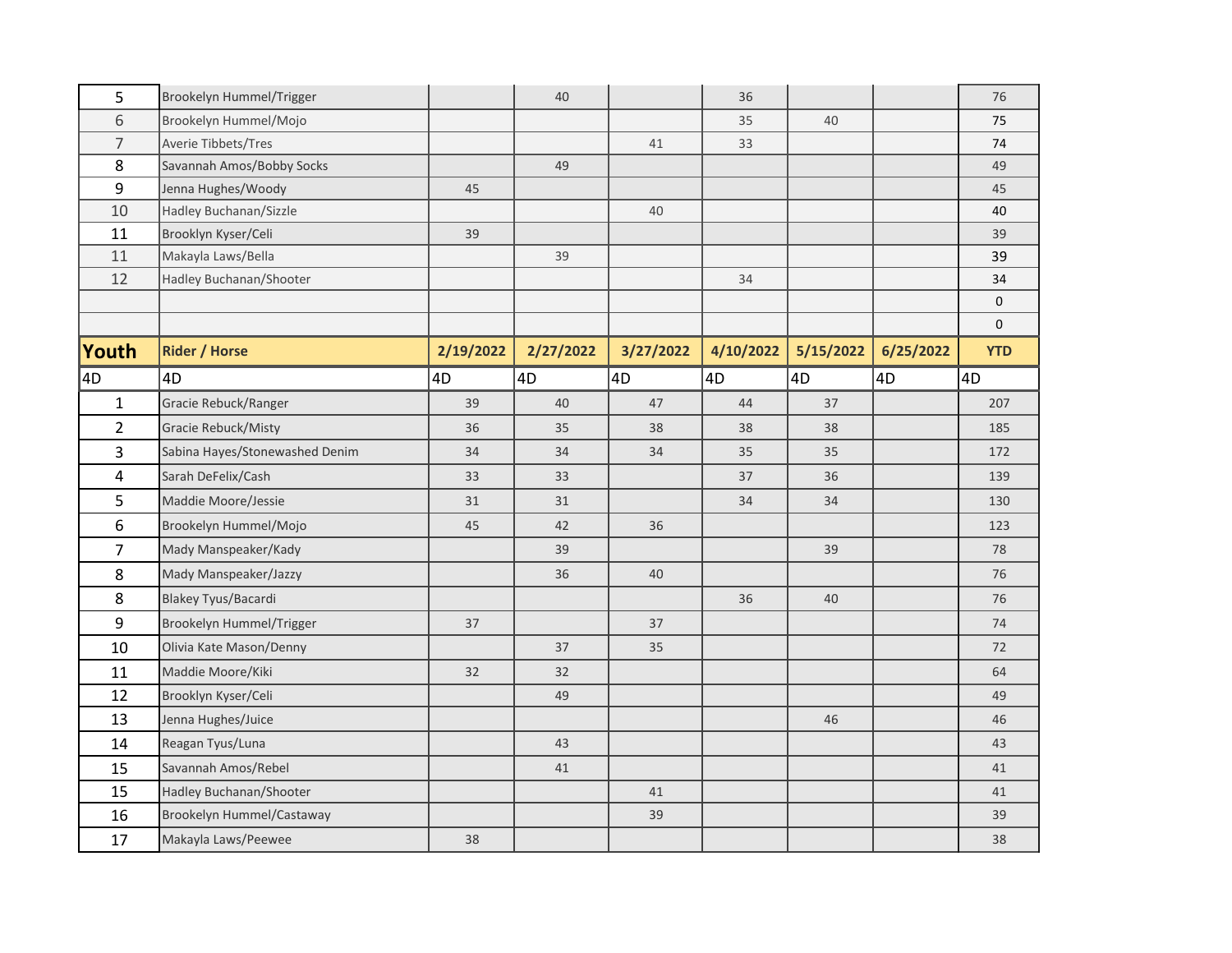| 5              | Brookelyn Hummel/Trigger       |           | 40        |           | 36        |           |           | 76           |
|----------------|--------------------------------|-----------|-----------|-----------|-----------|-----------|-----------|--------------|
| 6              | Brookelyn Hummel/Mojo          |           |           |           | 35        | 40        |           | 75           |
| $\overline{7}$ | Averie Tibbets/Tres            |           |           | 41        | 33        |           |           | 74           |
| 8              | Savannah Amos/Bobby Socks      |           | 49        |           |           |           |           | 49           |
| 9              | Jenna Hughes/Woody             | 45        |           |           |           |           |           | 45           |
| 10             | Hadley Buchanan/Sizzle         |           |           | 40        |           |           |           | 40           |
| 11             | Brooklyn Kyser/Celi            | 39        |           |           |           |           |           | 39           |
| 11             | Makayla Laws/Bella             |           | 39        |           |           |           |           | 39           |
| 12             | Hadley Buchanan/Shooter        |           |           |           | 34        |           |           | 34           |
|                |                                |           |           |           |           |           |           | $\mathsf{O}$ |
|                |                                |           |           |           |           |           |           | $\mathbf 0$  |
| <b>Youth</b>   | <b>Rider / Horse</b>           | 2/19/2022 | 2/27/2022 | 3/27/2022 | 4/10/2022 | 5/15/2022 | 6/25/2022 | <b>YTD</b>   |
| 4D             | 4D                             | 4D        | 4D        | 4D        | 4D        | 4D        | 4D        | 4D           |
| $\mathbf{1}$   | Gracie Rebuck/Ranger           | 39        | 40        | 47        | 44        | 37        |           | 207          |
| $\overline{2}$ | <b>Gracie Rebuck/Misty</b>     | 36        | 35        | 38        | 38        | 38        |           | 185          |
| 3              | Sabina Hayes/Stonewashed Denim | 34        | 34        | 34        | 35        | 35        |           | 172          |
| $\overline{4}$ | Sarah DeFelix/Cash             | 33        | 33        |           | 37        | 36        |           | 139          |
| 5              | Maddie Moore/Jessie            | 31        | 31        |           | 34        | 34        |           | 130          |
| 6              | Brookelyn Hummel/Mojo          | 45        | 42        | 36        |           |           |           | 123          |
| $\overline{7}$ | Mady Manspeaker/Kady           |           | 39        |           |           | 39        |           | 78           |
| 8              | Mady Manspeaker/Jazzy          |           | 36        | 40        |           |           |           | 76           |
| 8              | Blakey Tyus/Bacardi            |           |           |           | 36        | 40        |           | 76           |
| 9              | Brookelyn Hummel/Trigger       | 37        |           | 37        |           |           |           | 74           |
| 10             | Olivia Kate Mason/Denny        |           | 37        | 35        |           |           |           | 72           |
| 11             | Maddie Moore/Kiki              | 32        | 32        |           |           |           |           | 64           |
| 12             | Brooklyn Kyser/Celi            |           | 49        |           |           |           |           | 49           |
| 13             | Jenna Hughes/Juice             |           |           |           |           | 46        |           | 46           |
| 14             | Reagan Tyus/Luna               |           | 43        |           |           |           |           | 43           |
| 15             | Savannah Amos/Rebel            |           | 41        |           |           |           |           | 41           |
| 15             | Hadley Buchanan/Shooter        |           |           | 41        |           |           |           | 41           |
| 16             | Brookelyn Hummel/Castaway      |           |           | 39        |           |           |           | 39           |
| 17             | Makayla Laws/Peewee            | 38        |           |           |           |           |           | 38           |